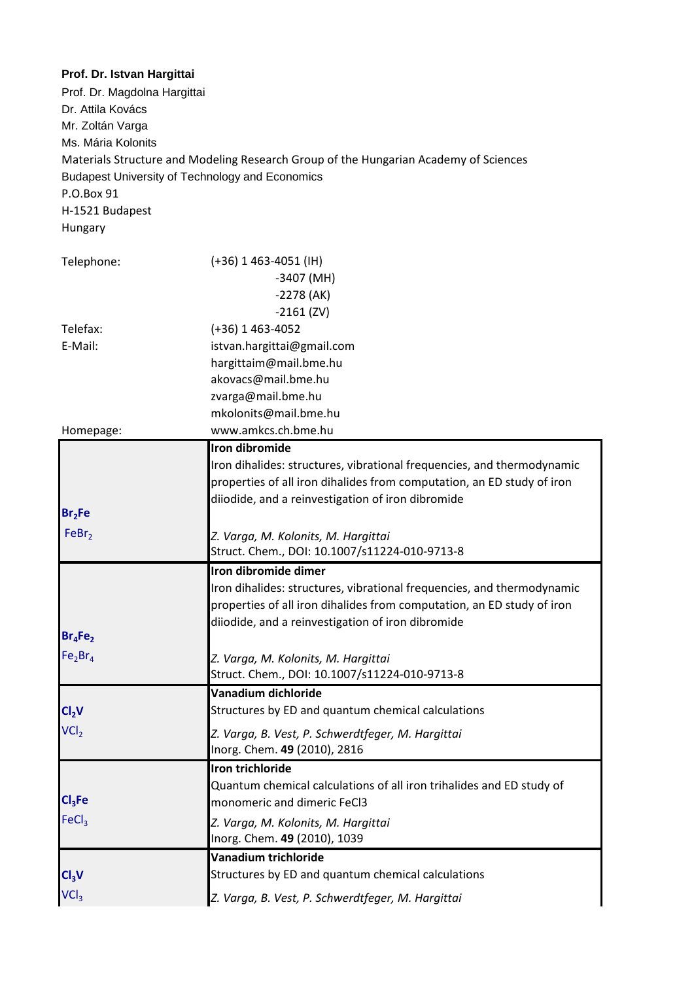| Prof. Dr. Istvan Hargittai<br>Prof. Dr. Magdolna Hargittai<br>Dr. Attila Kovács<br>Mr. Zoltán Varga<br>Ms. Mária Kolonits<br><b>Budapest University of Technology and Economics</b><br>P.O.Box 91<br>H-1521 Budapest<br>Hungary | Materials Structure and Modeling Research Group of the Hungarian Academy of Sciences |
|---------------------------------------------------------------------------------------------------------------------------------------------------------------------------------------------------------------------------------|--------------------------------------------------------------------------------------|
| Telephone:                                                                                                                                                                                                                      | $(+36)$ 1 463-4051 (IH)                                                              |
|                                                                                                                                                                                                                                 | $-3407$ (MH)                                                                         |
|                                                                                                                                                                                                                                 | $-2278$ (AK)<br>$-2161$ (ZV)                                                         |
| Telefax:                                                                                                                                                                                                                        | $(+36)$ 1 463-4052                                                                   |
| E-Mail:                                                                                                                                                                                                                         | istvan.hargittai@gmail.com                                                           |
|                                                                                                                                                                                                                                 | hargittaim@mail.bme.hu                                                               |
|                                                                                                                                                                                                                                 | akovacs@mail.bme.hu                                                                  |
|                                                                                                                                                                                                                                 | zvarga@mail.bme.hu                                                                   |
|                                                                                                                                                                                                                                 | mkolonits@mail.bme.hu                                                                |
| Homepage:                                                                                                                                                                                                                       | www.amkcs.ch.bme.hu                                                                  |
|                                                                                                                                                                                                                                 | <b>Iron dibromide</b>                                                                |
|                                                                                                                                                                                                                                 | Iron dihalides: structures, vibrational frequencies, and thermodynamic               |
|                                                                                                                                                                                                                                 | properties of all iron dihalides from computation, an ED study of iron               |
|                                                                                                                                                                                                                                 | diiodide, and a reinvestigation of iron dibromide                                    |
| Br <sub>2</sub> Fe                                                                                                                                                                                                              |                                                                                      |
| FeBr <sub>2</sub>                                                                                                                                                                                                               | Z. Varga, M. Kolonits, M. Hargittai                                                  |
|                                                                                                                                                                                                                                 | Struct. Chem., DOI: 10.1007/s11224-010-9713-8                                        |
|                                                                                                                                                                                                                                 | Iron dibromide dimer                                                                 |
|                                                                                                                                                                                                                                 | Iron dihalides: structures, vibrational frequencies, and thermodynamic               |
|                                                                                                                                                                                                                                 | properties of all iron dihalides from computation, an ED study of iron               |
| $Br_4Fe_2$                                                                                                                                                                                                                      | diiodide, and a reinvestigation of iron dibromide                                    |
| Fe <sub>2</sub> Br <sub>4</sub>                                                                                                                                                                                                 |                                                                                      |
|                                                                                                                                                                                                                                 | Z. Varga, M. Kolonits, M. Hargittai<br>Struct. Chem., DOI: 10.1007/s11224-010-9713-8 |
|                                                                                                                                                                                                                                 | Vanadium dichloride                                                                  |
| Cl <sub>2</sub> V                                                                                                                                                                                                               | Structures by ED and quantum chemical calculations                                   |
| VCI <sub>2</sub>                                                                                                                                                                                                                | Z. Varga, B. Vest, P. Schwerdtfeger, M. Hargittai                                    |
|                                                                                                                                                                                                                                 | Inorg. Chem. 49 (2010), 2816                                                         |
|                                                                                                                                                                                                                                 | Iron trichloride                                                                     |
|                                                                                                                                                                                                                                 | Quantum chemical calculations of all iron trihalides and ED study of                 |
| Cl <sub>3</sub> Fe                                                                                                                                                                                                              | monomeric and dimeric FeCl3                                                          |
| FeCl <sub>3</sub>                                                                                                                                                                                                               | Z. Varga, M. Kolonits, M. Hargittai<br>Inorg. Chem. 49 (2010), 1039                  |
|                                                                                                                                                                                                                                 | Vanadium trichloride                                                                 |
| Cl <sub>3</sub> V                                                                                                                                                                                                               | Structures by ED and quantum chemical calculations                                   |
| VCI <sub>3</sub>                                                                                                                                                                                                                | Z. Varga, B. Vest, P. Schwerdtfeger, M. Hargittai                                    |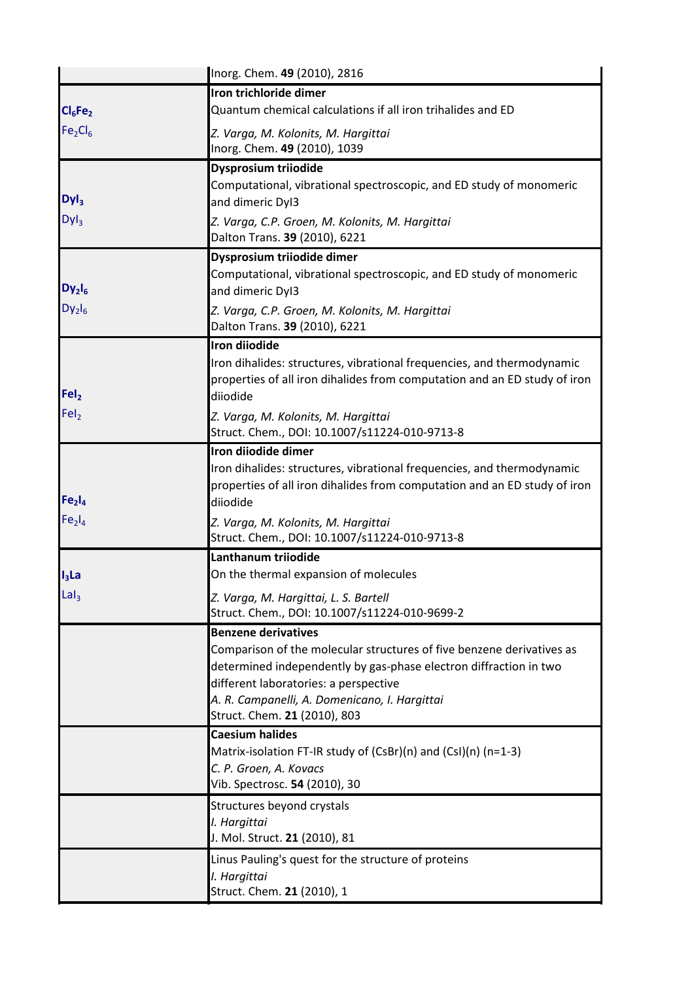|                                 | Inorg. Chem. 49 (2010), 2816                                                                                                                                                                                                                                         |
|---------------------------------|----------------------------------------------------------------------------------------------------------------------------------------------------------------------------------------------------------------------------------------------------------------------|
|                                 | Iron trichloride dimer                                                                                                                                                                                                                                               |
| $Cl_6Fe_2$                      | Quantum chemical calculations if all iron trihalides and ED                                                                                                                                                                                                          |
| Fe <sub>2</sub> Cl <sub>6</sub> | Z. Varga, M. Kolonits, M. Hargittai                                                                                                                                                                                                                                  |
|                                 | Inorg. Chem. 49 (2010), 1039                                                                                                                                                                                                                                         |
|                                 | Dysprosium triiodide                                                                                                                                                                                                                                                 |
|                                 | Computational, vibrational spectroscopic, and ED study of monomeric                                                                                                                                                                                                  |
| DyI <sub>3</sub>                | and dimeric Dyl3                                                                                                                                                                                                                                                     |
| Dyl <sub>3</sub>                | Z. Varga, C.P. Groen, M. Kolonits, M. Hargittai<br>Dalton Trans. 39 (2010), 6221                                                                                                                                                                                     |
|                                 | Dysprosium triiodide dimer                                                                                                                                                                                                                                           |
| $Dy_2I_6$                       | Computational, vibrational spectroscopic, and ED study of monomeric<br>and dimeric Dyl3                                                                                                                                                                              |
| $Dy_2I_6$                       | Z. Varga, C.P. Groen, M. Kolonits, M. Hargittai<br>Dalton Trans. 39 (2010), 6221                                                                                                                                                                                     |
|                                 | <b>Iron diiodide</b>                                                                                                                                                                                                                                                 |
|                                 | Iron dihalides: structures, vibrational frequencies, and thermodynamic                                                                                                                                                                                               |
|                                 | properties of all iron dihalides from computation and an ED study of iron                                                                                                                                                                                            |
| FeI <sub>2</sub>                | diiodide                                                                                                                                                                                                                                                             |
| FeI <sub>2</sub>                | Z. Varga, M. Kolonits, M. Hargittai<br>Struct. Chem., DOI: 10.1007/s11224-010-9713-8                                                                                                                                                                                 |
|                                 | Iron diiodide dimer                                                                                                                                                                                                                                                  |
|                                 | Iron dihalides: structures, vibrational frequencies, and thermodynamic                                                                                                                                                                                               |
| Fe <sub>2</sub> I <sub>4</sub>  | properties of all iron dihalides from computation and an ED study of iron                                                                                                                                                                                            |
| Fe <sub>2</sub> I <sub>4</sub>  | diiodide                                                                                                                                                                                                                                                             |
|                                 | Z. Varga, M. Kolonits, M. Hargittai<br>Struct. Chem., DOI: 10.1007/s11224-010-9713-8                                                                                                                                                                                 |
|                                 | Lanthanum triiodide                                                                                                                                                                                                                                                  |
| $I_3$ La                        | On the thermal expansion of molecules                                                                                                                                                                                                                                |
| $\mathsf{Lal}_3$                | Z. Varga, M. Hargittai, L. S. Bartell<br>Struct. Chem., DOI: 10.1007/s11224-010-9699-2                                                                                                                                                                               |
|                                 | <b>Benzene derivatives</b>                                                                                                                                                                                                                                           |
|                                 | Comparison of the molecular structures of five benzene derivatives as<br>determined independently by gas-phase electron diffraction in two<br>different laboratories: a perspective<br>A. R. Campanelli, A. Domenicano, I. Hargittai<br>Struct. Chem. 21 (2010), 803 |
|                                 | <b>Caesium halides</b>                                                                                                                                                                                                                                               |
|                                 | Matrix-isolation FT-IR study of $(CsBr)(n)$ and $(Csl)(n)$ (n=1-3)                                                                                                                                                                                                   |
|                                 | C. P. Groen, A. Kovacs                                                                                                                                                                                                                                               |
|                                 | Vib. Spectrosc. 54 (2010), 30                                                                                                                                                                                                                                        |
|                                 | Structures beyond crystals                                                                                                                                                                                                                                           |
|                                 | I. Hargittai<br>J. Mol. Struct. 21 (2010), 81                                                                                                                                                                                                                        |
|                                 | Linus Pauling's quest for the structure of proteins                                                                                                                                                                                                                  |
|                                 | I. Hargittai                                                                                                                                                                                                                                                         |
|                                 | Struct. Chem. 21 (2010), 1                                                                                                                                                                                                                                           |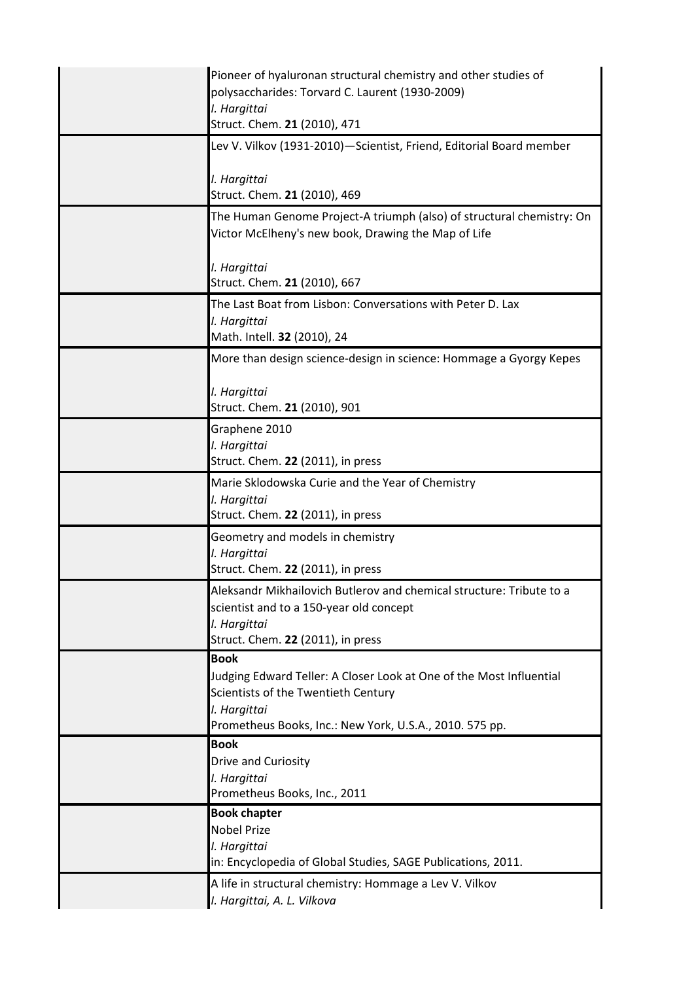| Pioneer of hyaluronan structural chemistry and other studies of<br>polysaccharides: Torvard C. Laurent (1930-2009)<br>I. Hargittai<br>Struct. Chem. 21 (2010), 471                                   |
|------------------------------------------------------------------------------------------------------------------------------------------------------------------------------------------------------|
| Lev V. Vilkov (1931-2010)—Scientist, Friend, Editorial Board member<br>I. Hargittai<br>Struct. Chem. 21 (2010), 469                                                                                  |
| The Human Genome Project-A triumph (also) of structural chemistry: On<br>Victor McElheny's new book, Drawing the Map of Life                                                                         |
| I. Hargittai<br>Struct. Chem. 21 (2010), 667                                                                                                                                                         |
| The Last Boat from Lisbon: Conversations with Peter D. Lax<br>I. Hargittai<br>Math. Intell. 32 (2010), 24                                                                                            |
| More than design science-design in science: Hommage a Gyorgy Kepes                                                                                                                                   |
| I. Hargittai<br>Struct. Chem. 21 (2010), 901                                                                                                                                                         |
| Graphene 2010<br>I. Hargittai<br>Struct. Chem. 22 (2011), in press                                                                                                                                   |
| Marie Sklodowska Curie and the Year of Chemistry<br>I. Hargittai<br>Struct. Chem. 22 (2011), in press                                                                                                |
| Geometry and models in chemistry<br>I. Hargittai<br>Struct. Chem. 22 (2011), in press                                                                                                                |
| Aleksandr Mikhailovich Butlerov and chemical structure: Tribute to a<br>scientist and to a 150-year old concept<br>I. Hargittai<br>Struct. Chem. 22 (2011), in press                                 |
| <b>Book</b><br>Judging Edward Teller: A Closer Look at One of the Most Influential<br>Scientists of the Twentieth Century<br>I. Hargittai<br>Prometheus Books, Inc.: New York, U.S.A., 2010. 575 pp. |
| <b>Book</b><br>Drive and Curiosity<br>I. Hargittai<br>Prometheus Books, Inc., 2011                                                                                                                   |
| <b>Book chapter</b><br><b>Nobel Prize</b><br>I. Hargittai<br>in: Encyclopedia of Global Studies, SAGE Publications, 2011.                                                                            |
| A life in structural chemistry: Hommage a Lev V. Vilkov<br>I. Hargittai, A. L. Vilkova                                                                                                               |